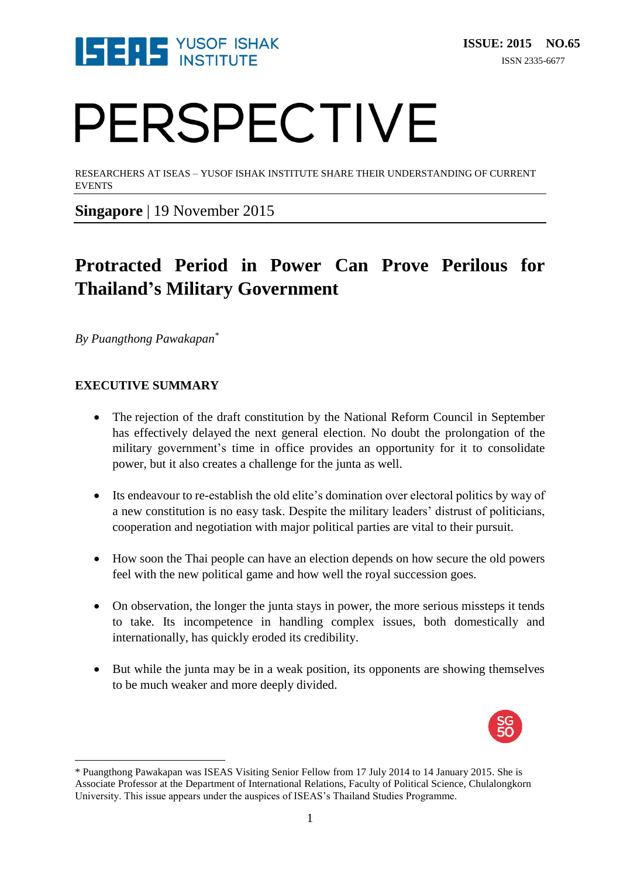

# PERSPECTIVE

RESEARCHERS AT ISEAS – YUSOF ISHAK INSTITUTE SHARE THEIR UNDERSTANDING OF CURRENT EVENTS

**Singapore** | 19 November 2015

### **Protracted Period in Power Can Prove Perilous for Thailand's Military Government**

*By Puangthong Pawakapan\**

### **EXECUTIVE SUMMARY**

 $\overline{\phantom{a}}$ 

- The rejection of the draft constitution by the National Reform Council in September has effectively delayed the next general election. No doubt the prolongation of the military government's time in office provides an opportunity for it to consolidate power, but it also creates a challenge for the junta as well.
- Its endeavour to re-establish the old elite's domination over electoral politics by way of a new constitution is no easy task. Despite the military leaders' distrust of politicians, cooperation and negotiation with major political parties are vital to their pursuit.
- How soon the Thai people can have an election depends on how secure the old powers feel with the new political game and how well the royal succession goes.
- On observation, the longer the junta stays in power, the more serious missteps it tends to take. Its incompetence in handling complex issues, both domestically and internationally, has quickly eroded its credibility.
- But while the junta may be in a weak position, its opponents are showing themselves to be much weaker and more deeply divided.



<sup>\*</sup> Puangthong Pawakapan was ISEAS Visiting Senior Fellow from 17 July 2014 to 14 January 2015. She is Associate Professor at the Department of International Relations, Faculty of Political Science, Chulalongkorn University. This issue appears under the auspices of ISEAS's Thailand Studies Programme.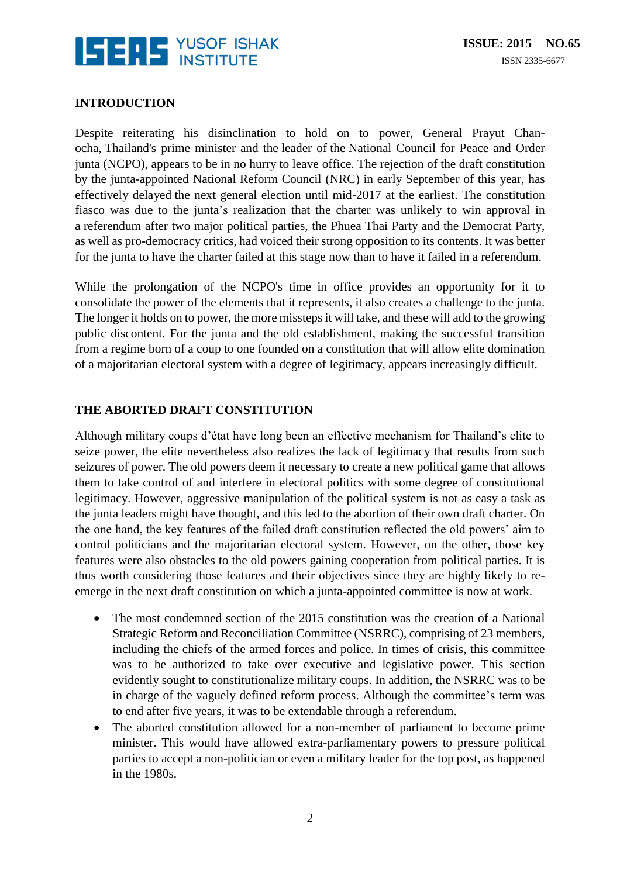

### **INTRODUCTION**

Despite reiterating his disinclination to hold on to power, General Prayut Chanocha, Thailand's prime minister and the leader of the National Council for Peace and Order junta (NCPO), appears to be in no hurry to leave office. The rejection of the draft constitution by the junta-appointed National Reform Council (NRC) in early September of this year, has effectively delayed the next general election until mid-2017 at the earliest. The constitution fiasco was due to the junta's realization that the charter was unlikely to win approval in a referendum after two major political parties, the Phuea Thai Party and the Democrat Party, as well as pro-democracy critics, had voiced their strong opposition to its contents. It was better for the junta to have the charter failed at this stage now than to have it failed in a referendum.

While the prolongation of the NCPO's time in office provides an opportunity for it to consolidate the power of the elements that it represents, it also creates a challenge to the junta. The longer it holds on to power, the more missteps it will take, and these will add to the growing public discontent. For the junta and the old establishment, making the successful transition from a regime born of a coup to one founded on a constitution that will allow elite domination of a majoritarian electoral system with a degree of legitimacy, appears increasingly difficult.

#### **THE ABORTED DRAFT CONSTITUTION**

Although military coups d'état have long been an effective mechanism for Thailand's elite to seize power, the elite nevertheless also realizes the lack of legitimacy that results from such seizures of power. The old powers deem it necessary to create a new political game that allows them to take control of and interfere in electoral politics with some degree of constitutional legitimacy. However, aggressive manipulation of the political system is not as easy a task as the junta leaders might have thought, and this led to the abortion of their own draft charter. On the one hand, the key features of the failed draft constitution reflected the old powers' aim to control politicians and the majoritarian electoral system. However, on the other, those key features were also obstacles to the old powers gaining cooperation from political parties. It is thus worth considering those features and their objectives since they are highly likely to reemerge in the next draft constitution on which a junta-appointed committee is now at work.

- The most condemned section of the 2015 constitution was the creation of a National Strategic Reform and Reconciliation Committee (NSRRC), comprising of 23 members, including the chiefs of the armed forces and police. In times of crisis, this committee was to be authorized to take over executive and legislative power. This section evidently sought to constitutionalize military coups. In addition, the NSRRC was to be in charge of the vaguely defined reform process. Although the committee's term was to end after five years, it was to be extendable through a referendum.
- The aborted constitution allowed for a non-member of parliament to become prime minister. This would have allowed extra-parliamentary powers to pressure political parties to accept a non-politician or even a military leader for the top post, as happened in the 1980s.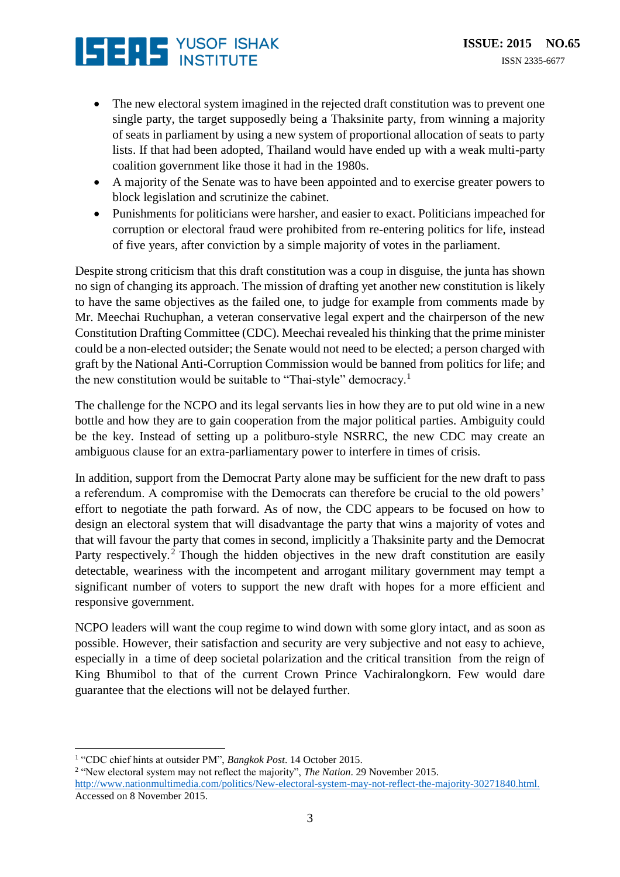## **ISERS** YUSOF ISHAK

- The new electoral system imagined in the rejected draft constitution was to prevent one single party, the target supposedly being a Thaksinite party, from winning a majority of seats in parliament by using a new system of proportional allocation of seats to party lists. If that had been adopted, Thailand would have ended up with a weak multi-party coalition government like those it had in the 1980s.
- A majority of the Senate was to have been appointed and to exercise greater powers to block legislation and scrutinize the cabinet.
- Punishments for politicians were harsher, and easier to exact. Politicians impeached for corruption or electoral fraud were prohibited from re-entering politics for life, instead of five years, after conviction by a simple majority of votes in the parliament.

Despite strong criticism that this draft constitution was a coup in disguise, the junta has shown no sign of changing its approach. The mission of drafting yet another new constitution is likely to have the same objectives as the failed one, to judge for example from comments made by Mr. Meechai Ruchuphan, a veteran conservative legal expert and the chairperson of the new Constitution Drafting Committee (CDC). Meechai revealed his thinking that the prime minister could be a non-elected outsider; the Senate would not need to be elected; a person charged with graft by the National Anti-Corruption Commission would be banned from politics for life; and the new constitution would be suitable to "Thai-style" democracy.<sup>1</sup>

The challenge for the NCPO and its legal servants lies in how they are to put old wine in a new bottle and how they are to gain cooperation from the major political parties. Ambiguity could be the key. Instead of setting up a politburo-style NSRRC, the new CDC may create an ambiguous clause for an extra-parliamentary power to interfere in times of crisis.

In addition, support from the Democrat Party alone may be sufficient for the new draft to pass a referendum. A compromise with the Democrats can therefore be crucial to the old powers' effort to negotiate the path forward. As of now, the CDC appears to be focused on how to design an electoral system that will disadvantage the party that wins a majority of votes and that will favour the party that comes in second, implicitly a Thaksinite party and the Democrat Party respectively.<sup>2</sup> Though the hidden objectives in the new draft constitution are easily detectable, weariness with the incompetent and arrogant military government may tempt a significant number of voters to support the new draft with hopes for a more efficient and responsive government.

NCPO leaders will want the coup regime to wind down with some glory intact, and as soon as possible. However, their satisfaction and security are very subjective and not easy to achieve, especially in a time of deep societal polarization and the critical transition from the reign of King Bhumibol to that of the current Crown Prince Vachiralongkorn. Few would dare guarantee that the elections will not be delayed further.

 $\overline{\phantom{a}}$ 

<sup>1</sup> "CDC chief hints at outsider PM", *Bangkok Post*. 14 October 2015.

<sup>2</sup> "New electoral system may not reflect the majority", *The Nation*. 29 November 2015.

[http://www.nationmultimedia.com/politics/New-electoral-system-may-not-reflect-the-majority-30271840.html.](http://www.nationmultimedia.com/politics/New-electoral-system-may-not-reflect-the-majority-30271840.html) Accessed on 8 November 2015.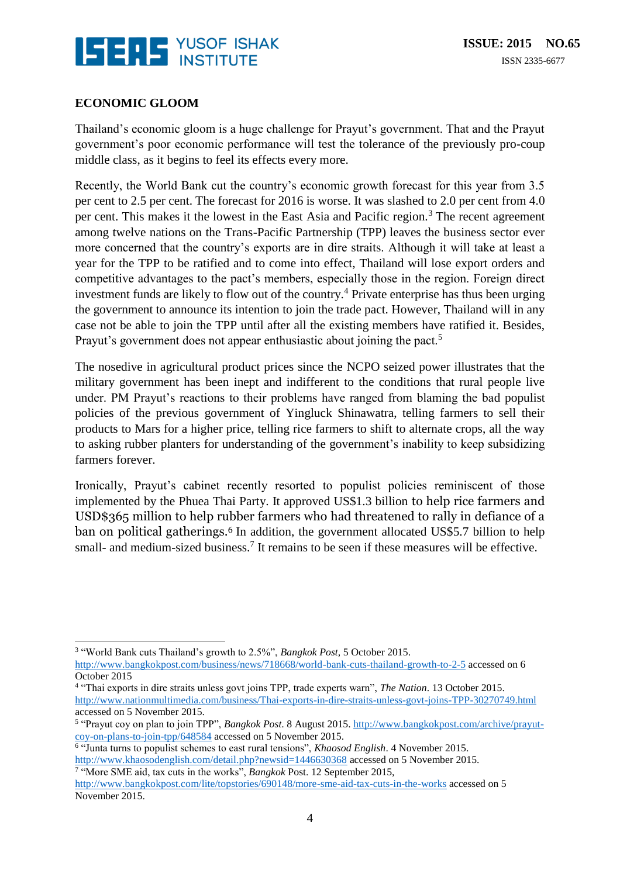

### **ECONOMIC GLOOM**

Thailand's economic gloom is a huge challenge for Prayut's government. That and the Prayut government's poor economic performance will test the tolerance of the previously pro-coup middle class, as it begins to feel its effects every more.

Recently, the World Bank cut the country's economic growth forecast for this year from 3.5 per cent to 2.5 per cent. The forecast for 2016 is worse. It was slashed to 2.0 per cent from 4.0 per cent. This makes it the lowest in the East Asia and Pacific region.<sup>3</sup> The recent agreement among twelve nations on the Trans-Pacific Partnership (TPP) leaves the business sector ever more concerned that the country's exports are in dire straits. Although it will take at least a year for the TPP to be ratified and to come into effect, Thailand will lose export orders and competitive advantages to the pact's members, especially those in the region. Foreign direct investment funds are likely to flow out of the country.<sup>4</sup> Private enterprise has thus been urging the government to announce its intention to join the trade pact. However, Thailand will in any case not be able to join the TPP until after all the existing members have ratified it. Besides, Prayut's government does not appear enthusiastic about joining the pact.<sup>5</sup>

The nosedive in agricultural product prices since the NCPO seized power illustrates that the military government has been inept and indifferent to the conditions that rural people live under. PM Prayut's reactions to their problems have ranged from blaming the bad populist policies of the previous government of Yingluck Shinawatra, telling farmers to sell their products to Mars for a higher price, telling rice farmers to shift to alternate crops, all the way to asking rubber planters for understanding of the government's inability to keep subsidizing farmers forever.

Ironically, Prayut's cabinet recently resorted to populist policies reminiscent of those implemented by the Phuea Thai Party. It approved US\$1.3 billion to help rice farmers and USD\$365 million to help rubber farmers who had threatened to rally in defiance of a ban on political gatherings.<sup>6</sup> In addition, the government allocated US\$5.7 billion to help small- and medium-sized business.<sup>7</sup> It remains to be seen if these measures will be effective.

 $\overline{a}$ 3 "World Bank cuts Thailand's growth to 2.5%", *Bangkok Post,* 5 October 2015. <http://www.bangkokpost.com/business/news/718668/world-bank-cuts-thailand-growth-to-2-5> accessed on 6 October 2015

<sup>4</sup> "Thai exports in dire straits unless govt joins TPP, trade experts warn", *The Nation*. 13 October 2015. <http://www.nationmultimedia.com/business/Thai-exports-in-dire-straits-unless-govt-joins-TPP-30270749.html> accessed on 5 November 2015.

<sup>&</sup>lt;sup>5</sup> "Prayut coy on plan to join TPP", *Bangkok Post*. 8 August 2015. [http://www.bangkokpost.com/archive/prayut](http://www.bangkokpost.com/archive/prayut-coy-on-plans-to-join-tpp/648584)[coy-on-plans-to-join-tpp/648584](http://www.bangkokpost.com/archive/prayut-coy-on-plans-to-join-tpp/648584) accessed on 5 November 2015.

<sup>6</sup> "Junta turns to populist schemes to east rural tensions", *Khaosod English*. 4 November 2015. <http://www.khaosodenglish.com/detail.php?newsid=1446630368> accessed on 5 November 2015.<br><sup>7</sup> "More SME aid, tax cuts in the works", *Bangkok* Post. 12 September 2015,

<http://www.bangkokpost.com/lite/topstories/690148/more-sme-aid-tax-cuts-in-the-works> accessed on 5 November 2015.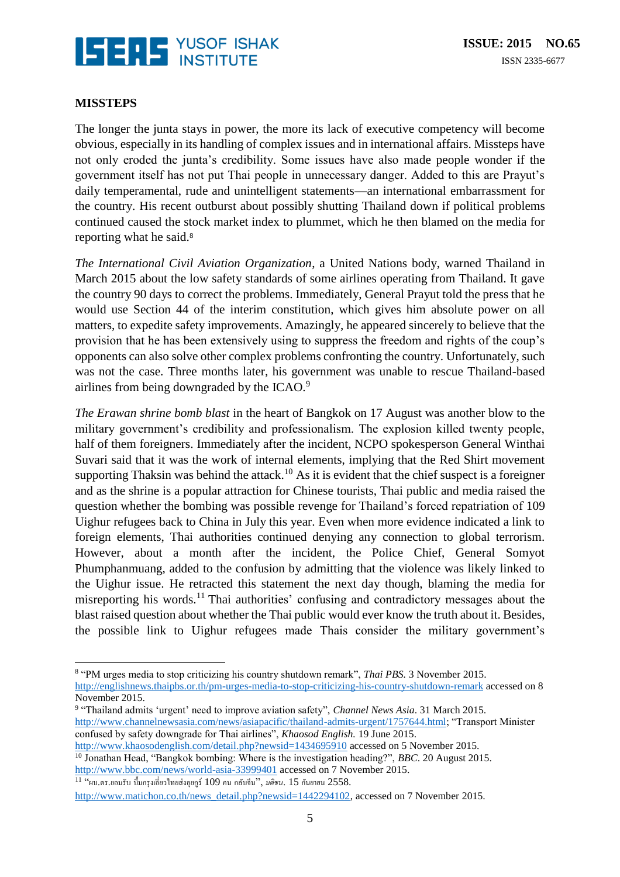

### **MISSTEPS**

The longer the junta stays in power, the more its lack of executive competency will become obvious, especially in its handling of complex issues and in international affairs. Missteps have not only eroded the junta's credibility. Some issues have also made people wonder if the government itself has not put Thai people in unnecessary danger. Added to this are Prayut's daily temperamental, rude and unintelligent statements—an international embarrassment for the country. His recent outburst about possibly shutting Thailand down if political problems continued caused the stock market index to plummet, which he then blamed on the media for reporting what he said.<sup>8</sup>

*The International Civil Aviation Organization*, a United Nations body, warned Thailand in March 2015 about the low safety standards of some airlines operating from Thailand. It gave the country 90 days to correct the problems. Immediately, General Prayut told the press that he would use Section 44 of the interim constitution, which gives him absolute power on all matters, to expedite safety improvements. Amazingly, he appeared sincerely to believe that the provision that he has been extensively using to suppress the freedom and rights of the coup's opponents can also solve other complex problems confronting the country. Unfortunately, such was not the case. Three months later, his government was unable to rescue Thailand-based airlines from being downgraded by the ICAO.<sup>9</sup>

*The Erawan shrine bomb blast* in the heart of Bangkok on 17 August was another blow to the military government's credibility and professionalism. The explosion killed twenty people, half of them foreigners. Immediately after the incident, NCPO spokesperson General Winthai Suvari said that it was the work of internal elements, implying that the Red Shirt movement supporting Thaksin was behind the attack.<sup>10</sup> As it is evident that the chief suspect is a foreigner and as the shrine is a popular attraction for Chinese tourists, Thai public and media raised the question whether the bombing was possible revenge for Thailand's forced repatriation of 109 Uighur refugees back to China in July this year. Even when more evidence indicated a link to foreign elements, Thai authorities continued denying any connection to global terrorism. However, about a month after the incident, the Police Chief, General Somyot Phumphanmuang, added to the confusion by admitting that the violence was likely linked to the Uighur issue. He retracted this statement the next day though, blaming the media for misreporting his words.<sup>11</sup> Thai authorities' confusing and contradictory messages about the blast raised question about whether the Thai public would ever know the truth about it. Besides, the possible link to Uighur refugees made Thais consider the military government's

<http://www.khaosodenglish.com/detail.php?newsid=1434695910> accessed on 5 November 2015. <sup>10</sup> Jonathan Head, "Bangkok bombing: Where is the investigation heading?", *BBC*. 20 August 2015. <http://www.bbc.com/news/world-asia-33999401> accessed on 7 November 2015.

 $\overline{a}$ 8 "PM urges media to stop criticizing his country shutdown remark", *Thai PBS.* 3 November 2015. <http://englishnews.thaipbs.or.th/pm-urges-media-to-stop-criticizing-his-country-shutdown-remark> accessed on 8 November 2015.

<sup>9</sup> "Thailand admits 'urgent' need to improve aviation safety", *Channel News Asia*. 31 March 2015. [http://www.channelnewsasia.com/news/asiapacific/thailand-admits-urgent/1757644.html;](http://www.channelnewsasia.com/news/asiapacific/thailand-admits-urgent/1757644.html) "Transport Minister confused by safety downgrade for Thai airlines", *Khaosod English.* 19 June 2015.

<sup>11</sup> "ผบ.ตร.ยอมรับ บ้ึมกรุงเอี่ยวไทยส่งอุยกูร์109 คน กลับจีน", *มติชน*. 15 กนัยายน 2558.

[http://www.matichon.co.th/news\\_detail.php?newsid=1442294102,](http://www.matichon.co.th/news_detail.php?newsid=1442294102) accessed on 7 November 2015.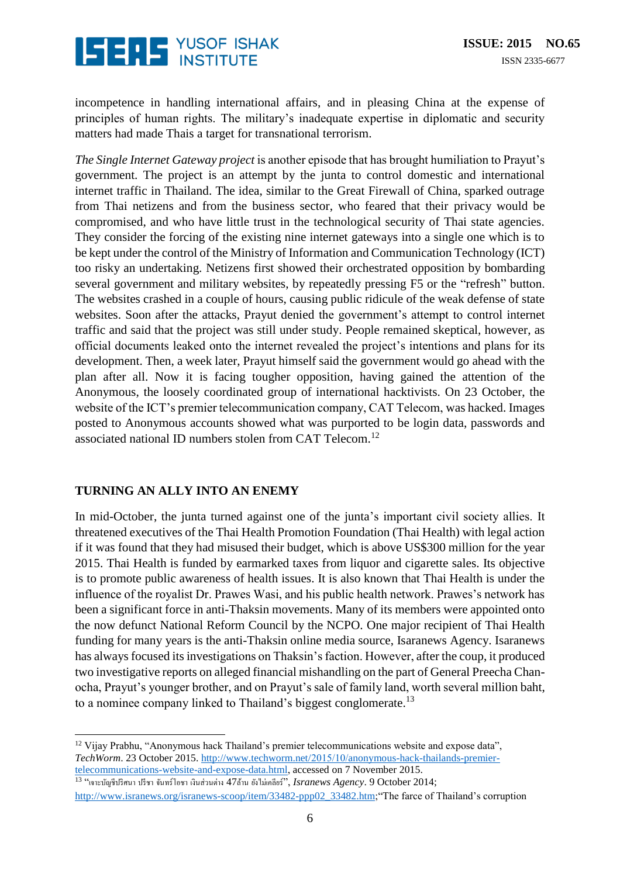

incompetence in handling international affairs, and in pleasing China at the expense of principles of human rights. The military's inadequate expertise in diplomatic and security matters had made Thais a target for transnational terrorism.

*The Single Internet Gateway project* is another episode that has brought humiliation to Prayut's government. The project is an attempt by the junta to control domestic and international internet traffic in Thailand. The idea, similar to the Great Firewall of China, sparked outrage from Thai netizens and from the business sector, who feared that their privacy would be compromised, and who have little trust in the technological security of Thai state agencies. They consider the forcing of the existing nine internet gateways into a single one which is to be kept under the control of the Ministry of Information and Communication Technology (ICT) too risky an undertaking. Netizens first showed their orchestrated opposition by bombarding several government and military websites, by repeatedly pressing F5 or the "refresh" button. The websites crashed in a couple of hours, causing public ridicule of the weak defense of state websites. Soon after the attacks, Prayut denied the government's attempt to control internet traffic and said that the project was still under study. People remained skeptical, however, as official documents leaked onto the internet revealed the project's intentions and plans for its development. Then, a week later, Prayut himself said the government would go ahead with the plan after all. Now it is facing tougher opposition, having gained the attention of the Anonymous, the loosely coordinated group of international hacktivists. On 23 October, the website of the ICT's premier telecommunication company, CAT Telecom, was hacked. Images posted to Anonymous accounts showed what was purported to be login data, passwords and associated national ID numbers stolen from CAT Telecom.<sup>12</sup>

### **TURNING AN ALLY INTO AN ENEMY**

In mid-October, the junta turned against one of the junta's important civil society allies. It threatened executives of the Thai Health Promotion Foundation (Thai Health) with legal action if it was found that they had misused their budget, which is above US\$300 million for the year 2015. Thai Health is funded by earmarked taxes from liquor and cigarette sales. Its objective is to promote public awareness of health issues. It is also known that Thai Health is under the influence of the royalist Dr. Prawes Wasi, and his public health network. Prawes's network has been a significant force in anti-Thaksin movements. Many of its members were appointed onto the now defunct National Reform Council by the NCPO. One major recipient of Thai Health funding for many years is the anti-Thaksin online media source, Isaranews Agency. Isaranews has always focused its investigations on Thaksin's faction. However, after the coup, it produced two investigative reports on alleged financial mishandling on the part of General Preecha Chanocha, Prayut's younger brother, and on Prayut's sale of family land, worth several million baht, to a nominee company linked to Thailand's biggest conglomerate.<sup>13</sup>

 $^{13}$  "เจาะบัญชีปริศนา ปรีชา จันทร์โอชา เงินส่วนต่าง 47ล้าน ยังไม่เคลียร์", *Isranews Agency*. 9 October 2014; [http://www.isranews.org/isranews-scoop/item/33482-ppp02\\_33482.htm;](http://www.isranews.org/isranews-scoop/item/33482-ppp02_33482.htm)"The farce of Thailand's corruption

 $\overline{\phantom{a}}$ <sup>12</sup> Vijay Prabhu, "Anonymous hack Thailand's premier telecommunications website and expose data", *TechWorm*. 23 October 2015. [http://www.techworm.net/2015/10/anonymous-hack-thailands-premier](http://www.techworm.net/2015/10/anonymous-hack-thailands-premier-telecommunications-website-and-expose-data.html)[telecommunications-website-and-expose-data.html,](http://www.techworm.net/2015/10/anonymous-hack-thailands-premier-telecommunications-website-and-expose-data.html) accessed on 7 November 2015.